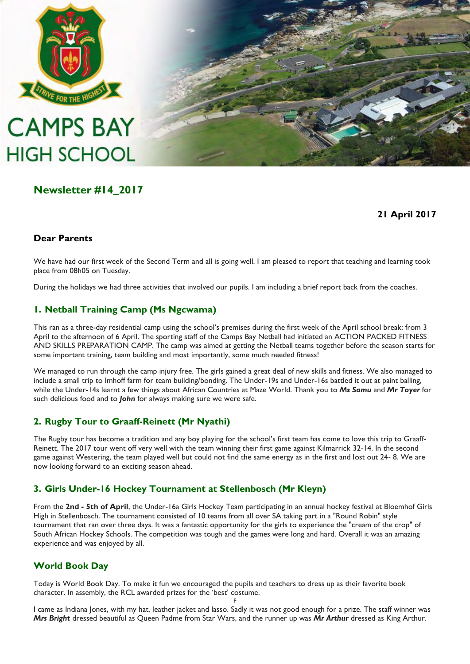

# **CAMPS BAY HIGH SCHOOL**

## **Newsletter #14\_2017**

### **21 April 2017**

#### **Dear Parents**

We have had our first week of the Second Term and all is going well. I am pleased to report that teaching and learning took place from 08h05 on Tuesday.

During the holidays we had three activities that involved our pupils. I am including a brief report back from the coaches.

#### **1. Netball Training Camp (Ms Ngcwama)**

This ran as a three-day residential camp using the school"s premises during the first week of the April school break; from 3 April to the afternoon of 6 April. The sporting staff of the Camps Bay Netball had initiated an ACTION PACKED FITNESS AND SKILLS PREPARATION CAMP. The camp was aimed at getting the Netball teams together before the season starts for some important training, team building and most importantly, some much needed fitness!

We managed to run through the camp injury free. The girls gained a great deal of new skills and fitness. We also managed to include a small trip to Imhoff farm for team building/bonding. The Under-19s and Under-16s battled it out at paint balling, while the Under-14s learnt a few things about African Countries at Maze World. Thank you to *Ms Samu* and *Mr Toyer* for such delicious food and to *John* for always making sure we were safe.

### **2. Rugby Tour to Graaff-Reinett (Mr Nyathi)**

The Rugby tour has become a tradition and any boy playing for the school"s first team has come to love this trip to Graaff-Reinett. The 2017 tour went off very well with the team winning their first game against Kilmarrick 32-14. In the second game against Westering, the team played well but could not find the same energy as in the first and lost out 24- 8. We are now looking forward to an exciting season ahead.

### **3. Girls Under-16 Hockey Tournament at Stellenbosch (Mr Kleyn)**

From the **2nd - 5th of April**, the Under-16a Girls Hockey Team participating in an annual hockey festival at Bloemhof Girls High in Stellenbosch. The tournament consisted of 10 teams from all over SA taking part in a "Round Robin" style tournament that ran over three days. It was a fantastic opportunity for the girls to experience the "cream of the crop" of South African Hockey Schools. The competition was tough and the games were long and hard. Overall it was an amazing experience and was enjoyed by all.

### **World Book Day**

Today is World Book Day. To make it fun we encouraged the pupils and teachers to dress up as their favorite book character. In assembly, the RCL awarded prizes for the "best" costume.

F I came as Indiana Jones, with my hat, leather jacket and lasso. Sadly it was not good enough for a prize. The staff winner was *Mrs Bright* dressed beautiful as Queen Padme from Star Wars, and the runner up was *Mr Arthur* dressed as King Arthur.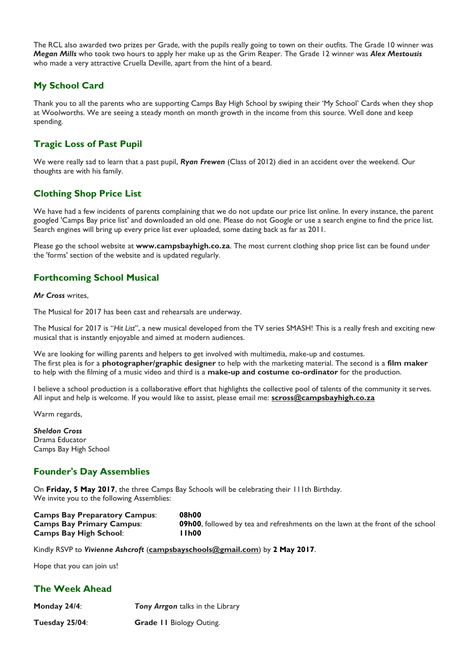The RCL also awarded two prizes per Grade, with the pupils really going to town on their outfits. The Grade 10 winner was *Megan Mills* who took two hours to apply her make up as the Grim Reaper. The Grade 12 winner was *Alex Mestousis* who made a very attractive Cruella Deville, apart from the hint of a beard.

#### **My School Card**

Thank you to all the parents who are supporting Camps Bay High School by swiping their "My School" Cards when they shop at Woolworths. We are seeing a steady month on month growth in the income from this source. Well done and keep spending.

#### **Tragic Loss of Past Pupil**

We were really sad to learn that a past pupil, *Ryan Frewen* (Class of 2012) died in an accident over the weekend. Our thoughts are with his family.

### **Clothing Shop Price List**

We have had a few incidents of parents complaining that we do not update our price list online. In every instance, the parent googled 'Camps Bay price list' and downloaded an old one. Please do not Google or use a search engine to find the price list. Search engines will bring up every price list ever uploaded, some dating back as far as 2011.

Please go the school website at **[www.campsbayhigh.co.za](http://www.campsbayhigh.co.za/)**. The most current clothing shop price list can be found under the 'forms' section of the website and is updated regularly.

#### **Forthcoming School Musical**

*Mr Cross* writes,

The Musical for 2017 has been cast and rehearsals are underway.

The Musical for 2017 is "*Hit List*", a new musical developed from the TV series SMASH! This is a really fresh and exciting new musical that is instantly enjoyable and aimed at modern audiences.

We are looking for willing parents and helpers to get involved with multimedia, make-up and costumes. The first plea is for a **photographer/graphic designer** to help with the marketing material. The second is a **film maker** to help with the filming of a music video and third is a **make-up and costume co-ordinator** for the production.

I believe a school production is a collaborative effort that highlights the collective pool of talents of the community it serves. All input and help is welcome. If you would like to assist, please email me: **[scross@campsbayhigh.co.za](mailto:scross@campsbayhigh.co.za)**

Warm regards,

*Sheldon Cross* Drama Educator Camps Bay High School

#### **Founder's Day Assemblies**

On **Friday, 5 May 2017**, the three Camps Bay Schools will be celebrating their 111th Birthday. We invite you to the following Assemblies:

| <b>Camps Bay Preparatory Campus:</b> | 08h00                                                                                 |
|--------------------------------------|---------------------------------------------------------------------------------------|
| <b>Camps Bay Primary Campus:</b>     | <b>09h00.</b> followed by tea and refreshments on the lawn at the front of the school |
| <b>Camps Bay High School:</b>        | ∣lh00                                                                                 |

Kindly RSVP to *Vivienne Ashcroft* (**[campsbayschools@gmail.com](mailto:campsbayschools@gmail.com)**) by **2 May 2017**.

Hope that you can join us!

#### **The Week Ahead**

| Monday 24/4:      | Tony Arrgon talks in the Library |
|-------------------|----------------------------------|
| Tuesday $25/04$ : | <b>Grade II Biology Outing.</b>  |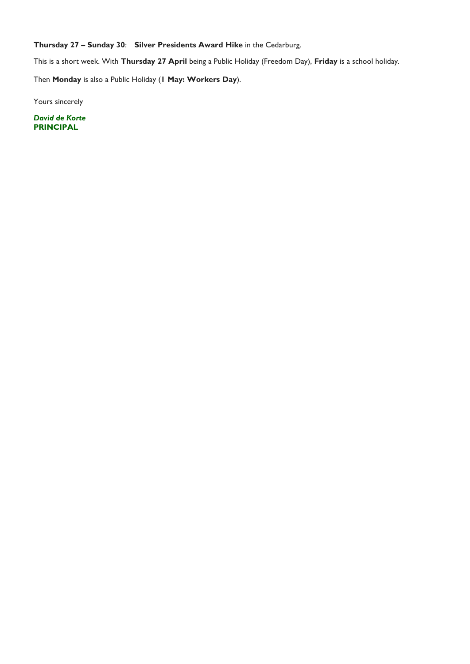**Thursday 27 – Sunday 30**: **Silver Presidents Award Hike** in the Cedarburg.

This is a short week. With **Thursday 27 April** being a Public Holiday (Freedom Day), **Friday** is a school holiday.

Then **Monday** is also a Public Holiday (**1 May: Workers Day**).

Yours sincerely

*David de Korte* **PRINCIPAL**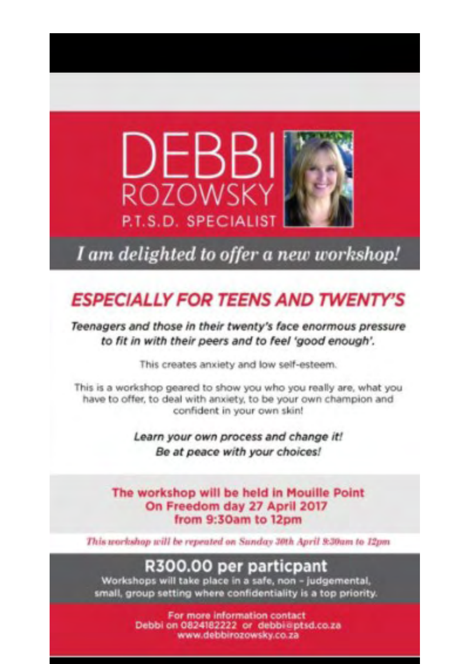

I am delighted to offer a new workshop!

# **ESPECIALLY FOR TEENS AND TWENTY'S**

Teenagers and those in their twenty's face enormous pressure to fit in with their peers and to feel 'good enough'.

This creates anxiety and low self-esteem.

This is a workshop geared to show you who you really are, what you have to offer, to deal with anxiety, to be your own champion and confident in your own skin!

> Learn your own process and change it! Be at peace with your choices!

The workshop will be held in Mouille Point On Freedom day 27 April 2017 from 9:30am to 12pm

This workshop will be repeated on Sanday 30th April 9:30am to 12pm

# R300.00 per particpant

Workshops will take place in a safe, non - judgemental, small, group setting where confidentiality is a top priority.

> For more information contact Debbi on 0824182222 or debbi@ptsd.co.za www.debbirozowsky.co.za